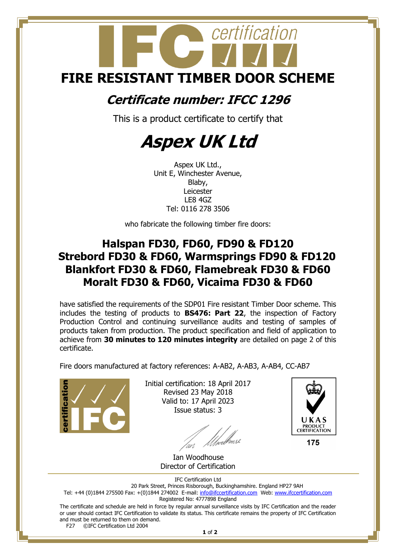# certification **FIRE RESISTANT TIMBER DOOR SCHEME**

## **Certificate number: IFCC 1296**

This is a product certificate to certify that

## **Aspex UK Ltd**

Aspex UK Ltd., Unit E, Winchester Avenue, Blaby, Leicester LE8 4GZ Tel: 0116 278 3506

who fabricate the following timber fire doors:

### **Halspan FD30, FD60, FD90 & FD120 Strebord FD30 & FD60, Warmsprings FD90 & FD120 Blankfort FD30 & FD60, Flamebreak FD30 & FD60 Moralt FD30 & FD60, Vicaima FD30 & FD60**

have satisfied the requirements of the SDP01 Fire resistant Timber Door scheme. This includes the testing of products to **BS476: Part 22**, the inspection of Factory Production Control and continuing surveillance audits and testing of samples of products taken from production. The product specification and field of application to achieve from **30 minutes to 120 minutes integrity** are detailed on page 2 of this certificate.

Fire doors manufactured at factory references: A-AB2, A-AB3, A-AB4, CC-AB7



Initial certification: 18 April 2017 Revised 23 May 2018 Valid to: 17 April 2023 Issue status: 3





175

IFC Certification Ltd

20 Park Street, Princes Risborough, Buckinghamshire. England HP27 9AH Tel: +44 (0)1844 275500 Fax: +(0)1844 274002 E-mail[: info@ifccertification.com](mailto:info@ifccertification.com) Web: [www.ifccertification.com](http://www.ifccertification.com/) Registered No: 4777898 England

The certificate and schedule are held in force by regular annual surveillance visits by IFC Certification and the reader or user should contact IFC Certification to validate its status. This certificate remains the property of IFC Certification and must be returned to them on demand.<br>F27  $\odot$  FC Certification Ltd 2004 ©IFC Certification Ltd 2004